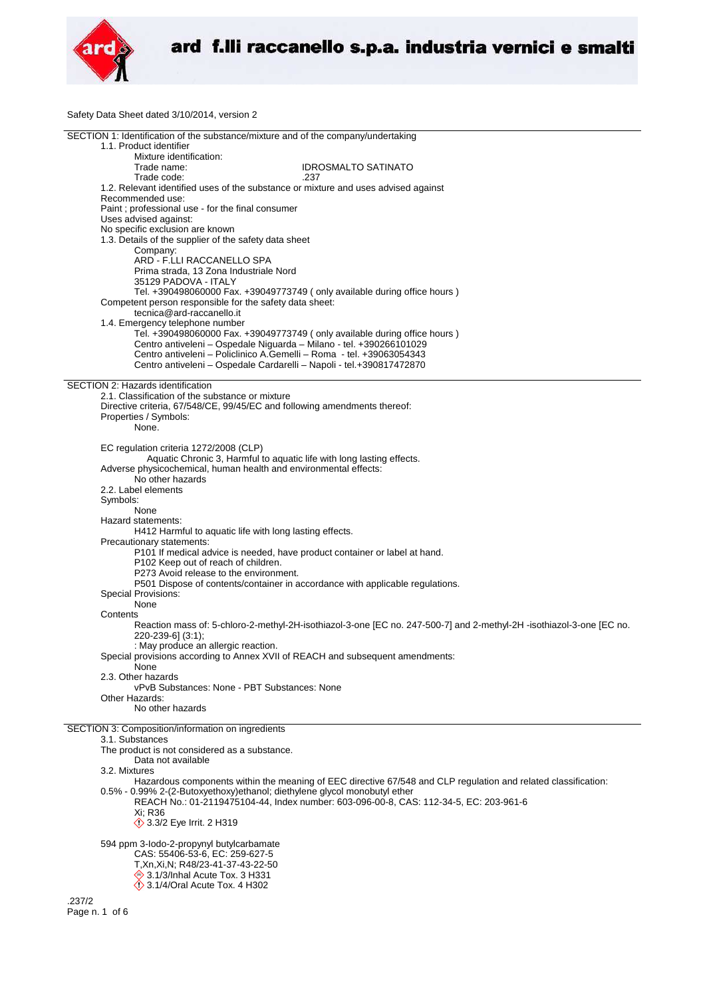

Safety Data Sheet dated 3/10/2014, version 2

| SECTION 1: Identification of the substance/mixture and of the company/undertaking                                    |
|----------------------------------------------------------------------------------------------------------------------|
| 1.1. Product identifier                                                                                              |
| Mixture identification:                                                                                              |
| Trade name:<br><b>IDROSMALTO SATINATO</b>                                                                            |
| Trade code:<br>.237                                                                                                  |
| 1.2. Relevant identified uses of the substance or mixture and uses advised against                                   |
| Recommended use:                                                                                                     |
| Paint; professional use - for the final consumer                                                                     |
| Uses advised against:                                                                                                |
| No specific exclusion are known                                                                                      |
| 1.3. Details of the supplier of the safety data sheet                                                                |
|                                                                                                                      |
| Company:                                                                                                             |
| ARD - F.LLI RACCANELLO SPA                                                                                           |
| Prima strada, 13 Zona Industriale Nord                                                                               |
| 35129 PADOVA - ITALY                                                                                                 |
| Tel. +390498060000 Fax. +39049773749 (only available during office hours)                                            |
| Competent person responsible for the safety data sheet:                                                              |
| tecnica@ard-raccanello.it                                                                                            |
| 1.4. Emergency telephone number                                                                                      |
| Tel. +390498060000 Fax. +39049773749 (only available during office hours)                                            |
| Centro antiveleni - Ospedale Niguarda - Milano - tel. +390266101029                                                  |
| Centro antiveleni – Policlinico A.Gemelli – Roma - tel. +39063054343                                                 |
| Centro antiveleni - Ospedale Cardarelli - Napoli - tel.+390817472870                                                 |
|                                                                                                                      |
| SECTION 2: Hazards identification                                                                                    |
| 2.1. Classification of the substance or mixture                                                                      |
|                                                                                                                      |
| Directive criteria, 67/548/CE, 99/45/EC and following amendments thereof:                                            |
| Properties / Symbols:                                                                                                |
| None.                                                                                                                |
|                                                                                                                      |
| EC regulation criteria 1272/2008 (CLP)                                                                               |
| Aquatic Chronic 3, Harmful to aquatic life with long lasting effects.                                                |
| Adverse physicochemical, human health and environmental effects:                                                     |
| No other hazards                                                                                                     |
| 2.2. Label elements                                                                                                  |
| Symbols:                                                                                                             |
| None                                                                                                                 |
| Hazard statements:                                                                                                   |
|                                                                                                                      |
| H412 Harmful to aquatic life with long lasting effects.                                                              |
| Precautionary statements:                                                                                            |
| P101 If medical advice is needed, have product container or label at hand.                                           |
| P102 Keep out of reach of children.                                                                                  |
| P273 Avoid release to the environment.                                                                               |
| P501 Dispose of contents/container in accordance with applicable regulations.                                        |
| <b>Special Provisions:</b>                                                                                           |
| None                                                                                                                 |
| Contents                                                                                                             |
| Reaction mass of: 5-chloro-2-methyl-2H-isothiazol-3-one [EC no. 247-500-7] and 2-methyl-2H -isothiazol-3-one [EC no. |
| 220-239-6] (3:1);                                                                                                    |
|                                                                                                                      |
| : May produce an allergic reaction.                                                                                  |
| Special provisions according to Annex XVII of REACH and subsequent amendments:                                       |
| None                                                                                                                 |
| 2.3. Other hazards                                                                                                   |
| vPvB Substances: None - PBT Substances: None                                                                         |
| Other Hazards:                                                                                                       |
| No other hazards                                                                                                     |
|                                                                                                                      |
| SECTION 3: Composition/information on ingredients                                                                    |
| 3.1. Substances                                                                                                      |
| The product is not considered as a substance.                                                                        |
| Data not available                                                                                                   |
| 3.2. Mixtures                                                                                                        |
| Hazardous components within the meaning of EEC directive 67/548 and CLP regulation and related classification:       |
| 0.5% - 0.99% 2-(2-Butoxyethoxy) ethanol; diethylene glycol monobutyl ether                                           |
| REACH No.: 01-2119475104-44. Index number: 603-096-00-8. CAS: 112-34-5. EC: 203-961-6                                |
|                                                                                                                      |
| Xi: R36                                                                                                              |
| <b>1</b> 3.3/2 Eye Irrit. 2 H319                                                                                     |
|                                                                                                                      |
| 594 ppm 3-lodo-2-propynyl butylcarbamate                                                                             |
| CAS: 55406-53-6, EC: 259-627-5                                                                                       |
| T, Xn, Xi, N; R48/23-41-37-43-22-50                                                                                  |
| → 3.1/3/Inhal Acute Tox. 3 H331                                                                                      |
| $\Diamond$ 3.1/4/Oral Acute Tox. 4 H302                                                                              |
| .237/2                                                                                                               |
| Page n. 1 of 6                                                                                                       |
|                                                                                                                      |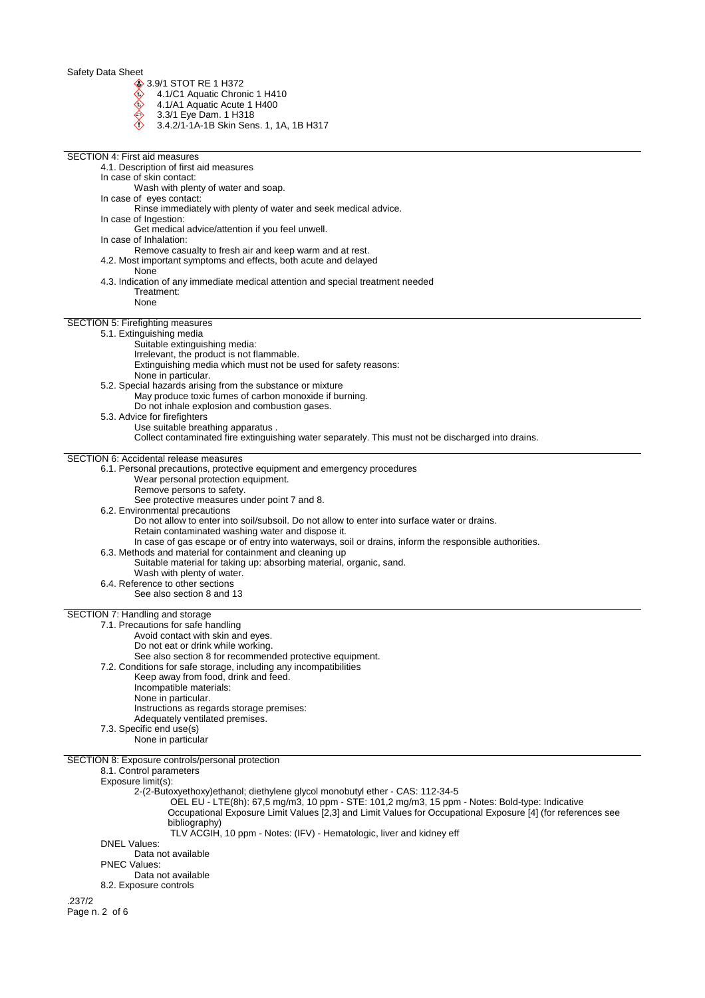3.9/1 STOT RE 1 H372

- 4.1/C1 Aquatic Chronic 1 H410
- 4.1/A1 Aquatic Acute 1 H400
- 3.3/1 Eye Dam. 1 H318
- 3.4.2/1-1A-1B Skin Sens. 1, 1A, 1B H317

| <b>SECTION 4: First aid measures</b>                                                                                                                               |
|--------------------------------------------------------------------------------------------------------------------------------------------------------------------|
| 4.1. Description of first aid measures                                                                                                                             |
| In case of skin contact:<br>Wash with plenty of water and soap.                                                                                                    |
| In case of eyes contact:                                                                                                                                           |
| Rinse immediately with plenty of water and seek medical advice.                                                                                                    |
| In case of Ingestion:                                                                                                                                              |
| Get medical advice/attention if you feel unwell.<br>In case of Inhalation:                                                                                         |
| Remove casualty to fresh air and keep warm and at rest.                                                                                                            |
| 4.2. Most important symptoms and effects, both acute and delayed                                                                                                   |
| None<br>4.3. Indication of any immediate medical attention and special treatment needed                                                                            |
| Treatment:                                                                                                                                                         |
| None                                                                                                                                                               |
| SECTION 5: Firefighting measures                                                                                                                                   |
| 5.1. Extinguishing media                                                                                                                                           |
| Suitable extinguishing media:                                                                                                                                      |
| Irrelevant, the product is not flammable.<br>Extinguishing media which must not be used for safety reasons:                                                        |
| None in particular.                                                                                                                                                |
| 5.2. Special hazards arising from the substance or mixture                                                                                                         |
| May produce toxic fumes of carbon monoxide if burning.                                                                                                             |
| Do not inhale explosion and combustion gases.<br>5.3. Advice for firefighters                                                                                      |
| Use suitable breathing apparatus.                                                                                                                                  |
| Collect contaminated fire extinguishing water separately. This must not be discharged into drains.                                                                 |
| SECTION 6: Accidental release measures                                                                                                                             |
| 6.1. Personal precautions, protective equipment and emergency procedures                                                                                           |
| Wear personal protection equipment.                                                                                                                                |
| Remove persons to safety.<br>See protective measures under point 7 and 8.                                                                                          |
| 6.2. Environmental precautions                                                                                                                                     |
| Do not allow to enter into soil/subsoil. Do not allow to enter into surface water or drains.                                                                       |
| Retain contaminated washing water and dispose it.                                                                                                                  |
| In case of gas escape or of entry into waterways, soil or drains, inform the responsible authorities.<br>6.3. Methods and material for containment and cleaning up |
| Suitable material for taking up: absorbing material, organic, sand.                                                                                                |
| Wash with plenty of water.                                                                                                                                         |
| 6.4. Reference to other sections<br>See also section 8 and 13                                                                                                      |
|                                                                                                                                                                    |
| SECTION 7: Handling and storage                                                                                                                                    |
| 7.1. Precautions for safe handling                                                                                                                                 |
| Avoid contact with skin and eyes.<br>Do not eat or drink while working.                                                                                            |
| See also section 8 for recommended protective equipment.                                                                                                           |
| 7.2. Conditions for safe storage, including any incompatibilities                                                                                                  |
| Keep away from food, drink and feed.<br>Incompatible materials:                                                                                                    |
| None in particular.                                                                                                                                                |
| Instructions as regards storage premises:                                                                                                                          |
| Adequately ventilated premises.                                                                                                                                    |
| 7.3. Specific end use(s)<br>None in particular                                                                                                                     |
|                                                                                                                                                                    |
| SECTION 8: Exposure controls/personal protection<br>8.1. Control parameters                                                                                        |
| Exposure limit(s):                                                                                                                                                 |
| 2-(2-Butoxyethoxy)ethanol; diethylene glycol monobutyl ether - CAS: 112-34-5                                                                                       |
| OEL EU - LTE(8h): 67,5 mg/m3, 10 ppm - STE: 101,2 mg/m3, 15 ppm - Notes: Bold-type: Indicative                                                                     |
| Occupational Exposure Limit Values [2,3] and Limit Values for Occupational Exposure [4] (for references see                                                        |
| bibliography)<br>TLV ACGIH, 10 ppm - Notes: (IFV) - Hematologic, liver and kidney eff                                                                              |
| <b>DNEL Values:</b>                                                                                                                                                |
| Data not available                                                                                                                                                 |
| <b>PNEC Values:</b><br>Data not available                                                                                                                          |
| 8.2. Exposure controls                                                                                                                                             |
| .237/2                                                                                                                                                             |
| Page n. 2 of 6                                                                                                                                                     |
|                                                                                                                                                                    |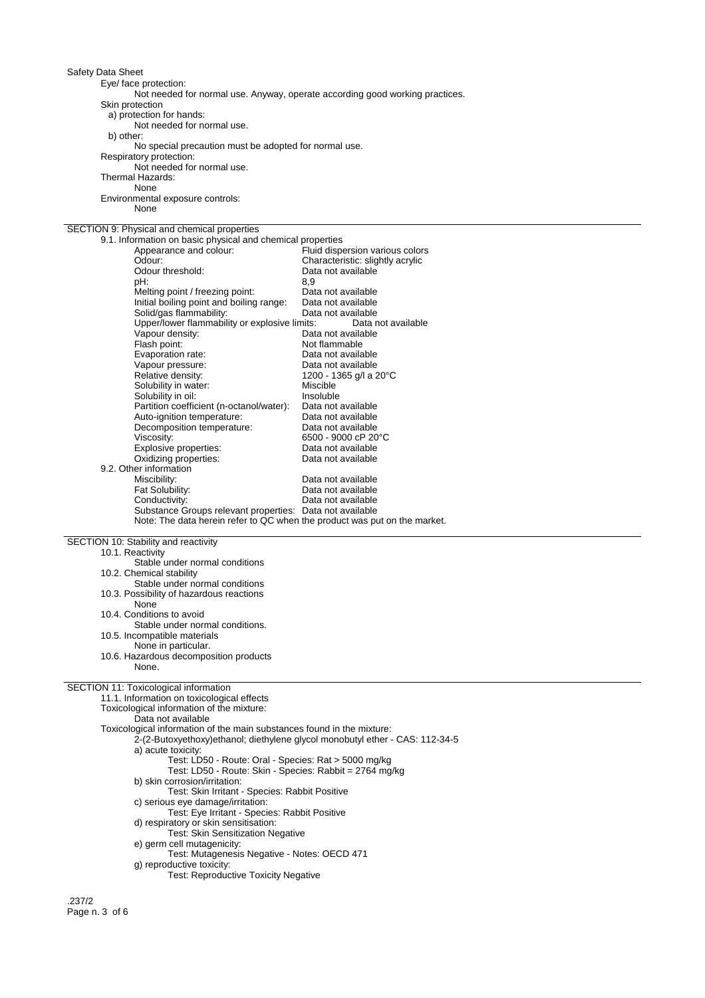Eye/ face protection:

Not needed for normal use. Anyway, operate according good working practices.

Skin protection

a) protection for hands:

Not needed for normal use. b) other:

No special precaution must be adopted for normal use.

Respiratory protection:

Not needed for normal use. Thermal Hazards:

None

Environmental exposure controls: None

## SECTION 9: Physical and chemical properties

| 9.1. Information on basic physical and chemical properties                |                                  |
|---------------------------------------------------------------------------|----------------------------------|
| Appearance and colour:                                                    | Fluid dispersion various colors  |
| Odour:                                                                    | Characteristic: slightly acrylic |
| Odour threshold:                                                          | Data not available               |
| pH:                                                                       | 8.9                              |
| Melting point / freezing point:                                           | Data not available               |
| Initial boiling point and boiling range:                                  | Data not available               |
| Solid/gas flammability:                                                   | Data not available               |
| Upper/lower flammability or explosive limits:                             | Data not available               |
| Vapour density:                                                           | Data not available               |
| Flash point:                                                              | Not flammable                    |
| Evaporation rate:                                                         | Data not available               |
| Vapour pressure:                                                          | Data not available               |
| Relative density:                                                         | 1200 - 1365 g/l a 20°C           |
| Solubility in water:                                                      | Miscible                         |
| Solubility in oil:                                                        | Insoluble                        |
| Partition coefficient (n-octanol/water):                                  | Data not available               |
| Auto-ignition temperature:                                                | Data not available               |
| Decomposition temperature:                                                | Data not available               |
| Viscosity:                                                                | 6500 - 9000 cP 20°C              |
| Explosive properties:                                                     | Data not available               |
| Oxidizing properties:                                                     | Data not available               |
| 9.2. Other information                                                    |                                  |
| Miscibility:                                                              | Data not available               |
| Fat Solubility:                                                           | Data not available               |
| Conductivity:                                                             | Data not available               |
| Substance Groups relevant properties: Data not available                  |                                  |
| Note: The data herein refer to QC when the product was put on the market. |                                  |

SECTION 10: Stability and reactivity

10.1. Reactivity Stable under normal conditions 10.2. Chemical stability Stable under normal conditions 10.3. Possibility of hazardous reactions None 10.4. Conditions to avoid Stable under normal conditions. 10.5. Incompatible materials None in particular. 10.6. Hazardous decomposition products

# None. SECTION 11: Toxicological information

11.1. Information on toxicological effects

```
Toxicological information of the mixture:
```
Data not available

```
Toxicological information of the main substances found in the mixture:
```
- 2-(2-Butoxyethoxy)ethanol; diethylene glycol monobutyl ether CAS: 112-34-5 a) acute toxicity:
	- - Test: LD50 Route: Oral Species: Rat > 5000 mg/kg
		- Test: LD50 Route: Skin Species: Rabbit = 2764 mg/kg

b) skin corrosion/irritation:

- Test: Skin Irritant Species: Rabbit Positive
- c) serious eye damage/irritation:
- Test: Eye Irritant Species: Rabbit Positive
- d) respiratory or skin sensitisation:
	- Test: Skin Sensitization Negative
- e) germ cell mutagenicity:
- Test: Mutagenesis Negative Notes: OECD 471 g) reproductive toxicity:
	- Test: Reproductive Toxicity Negative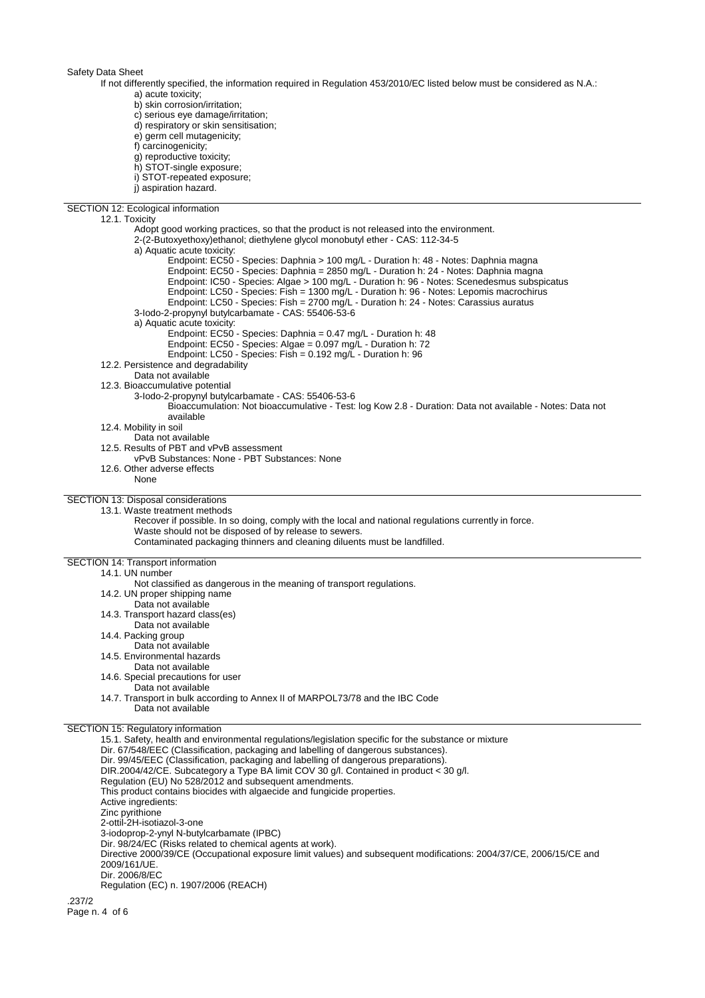If not differently specified, the information required in Regulation 453/2010/EC listed below must be considered as N.A.: a) acute toxicity;

b) skin corrosion/irritation;

c) serious eye damage/irritation;

- d) respiratory or skin sensitisation;
- e) germ cell mutagenicity;
- f) carcinogenicity;
- g) reproductive toxicity;
- h) STOT-single exposure;
- i) STOT-repeated exposure;
- j) aspiration hazard.
- 

SECTION 12: Ecological information 12.1. Toxicity Adopt good working practices, so that the product is not released into the environment. 2-(2-Butoxyethoxy)ethanol; diethylene glycol monobutyl ether - CAS: 112-34-5 a) Aquatic acute toxicity: Endpoint: EC50 - Species: Daphnia > 100 mg/L - Duration h: 48 - Notes: Daphnia magna Endpoint: EC50 - Species: Daphnia = 2850 mg/L - Duration h: 24 - Notes: Daphnia magna Endpoint: IC50 - Species: Algae > 100 mg/L - Duration h: 96 - Notes: Scenedesmus subspicatus Endpoint: LC50 - Species: Fish = 1300 mg/L - Duration h: 96 - Notes: Lepomis macrochirus Endpoint: LC50 - Species: Fish = 2700 mg/L - Duration h: 24 - Notes: Carassius auratus 3-Iodo-2-propynyl butylcarbamate - CAS: 55406-53-6 a) Aquatic acute toxicity: Endpoint: EC50 - Species: Daphnia = 0.47 mg/L - Duration h: 48 Endpoint: EC50 - Species: Algae = 0.097 mg/L - Duration h: 72 Endpoint: LC50 - Species: Fish = 0.192 mg/L - Duration h: 96 12.2. Persistence and degradability Data not available 12.3. Bioaccumulative potential 3-Iodo-2-propynyl butylcarbamate - CAS: 55406-53-6 Bioaccumulation: Not bioaccumulative - Test: log Kow 2.8 - Duration: Data not available - Notes: Data not available 12.4. Mobility in soil Data not available 12.5. Results of PBT and vPvB assessment vPvB Substances: None - PBT Substances: None 12.6. Other adverse effects None SECTION 13: Disposal considerations 13.1. Waste treatment methods Recover if possible. In so doing, comply with the local and national regulations currently in force. Waste should not be disposed of by release to sewers. Contaminated packaging thinners and cleaning diluents must be landfilled. SECTION 14: Transport information 14.1. UN number Not classified as dangerous in the meaning of transport regulations. 14.2. UN proper shipping name Data not available 14.3. Transport hazard class(es) Data not available 14.4. Packing group Data not available 14.5. Environmental hazards Data not available 14.6. Special precautions for user Data not available 14.7. Transport in bulk according to Annex II of MARPOL73/78 and the IBC Code Data not available SECTION 15: Regulatory information 15.1. Safety, health and environmental regulations/legislation specific for the substance or mixture Dir. 67/548/EEC (Classification, packaging and labelling of dangerous substances). Dir. 99/45/EEC (Classification, packaging and labelling of dangerous preparations). DIR.2004/42/CE. Subcategory a Type BA limit COV 30 g/l. Contained in product < 30 g/l. Regulation (EU) No 528/2012 and subsequent amendments. This product contains biocides with algaecide and fungicide properties. Active ingredients: Zinc pyrithione 2-ottil-2H-isotiazol-3-one 3-iodoprop-2-ynyl N-butylcarbamate (IPBC) Dir. 98/24/EC (Risks related to chemical agents at work). Directive 2000/39/CE (Occupational exposure limit values) and subsequent modifications: 2004/37/CE, 2006/15/CE and 2009/161/UE. Dir. 2006/8/EC Regulation (EC) n. 1907/2006 (REACH)

.237/2 Page n. 4 of 6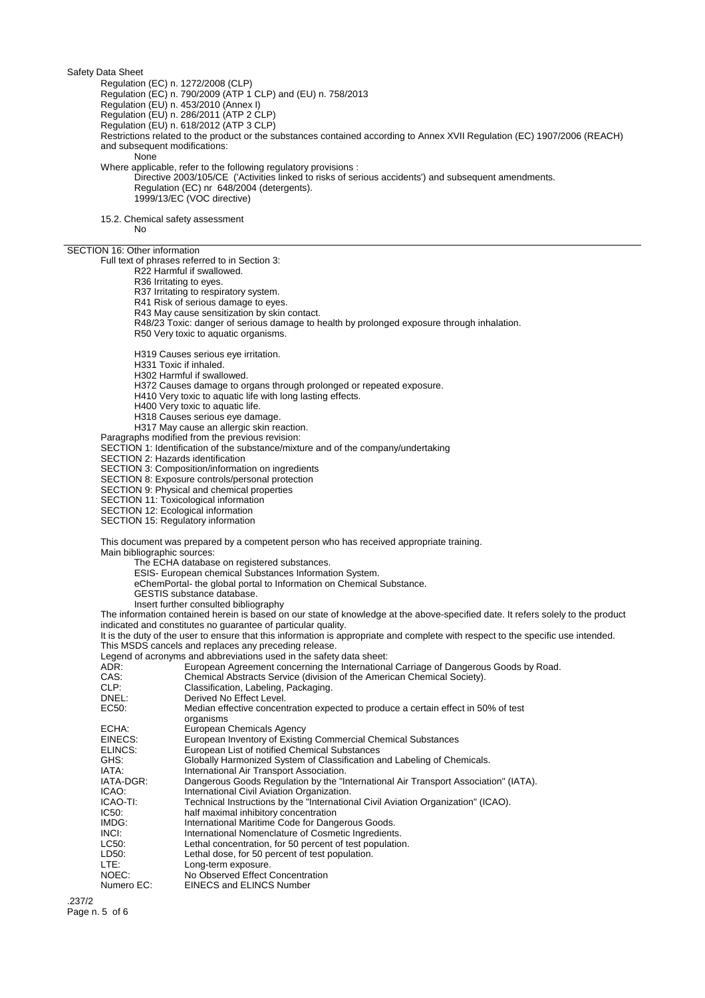Regulation (EC) n. 1272/2008 (CLP)

Regulation (EC) n. 790/2009 (ATP 1 CLP) and (EU) n. 758/2013

Regulation (EU) n. 453/2010 (Annex I)

Regulation (EU) n. 286/2011 (ATP 2 CLP) Regulation (EU) n. 618/2012 (ATP 3 CLP)

Restrictions related to the product or the substances contained according to Annex XVII Regulation (EC) 1907/2006 (REACH) and subsequent modifications:

None

Where applicable, refer to the following regulatory provisions :

Directive 2003/105/CE ('Activities linked to risks of serious accidents') and subsequent amendments. Regulation (EC) nr 648/2004 (detergents). 1999/13/EC (VOC directive)

15.2. Chemical safety assessment

No

### SECTION 16: Other information

Full text of phrases referred to in Section 3:

R22 Harmful if swallowed.

R36 Irritating to eyes.

R37 Irritating to respiratory system.

R41 Risk of serious damage to eyes.

R43 May cause sensitization by skin contact.

R48/23 Toxic: danger of serious damage to health by prolonged exposure through inhalation.

R50 Very toxic to aquatic organisms.

H319 Causes serious eye irritation.

H331 Toxic if inhaled.

H302 Harmful if swallowed.

H372 Causes damage to organs through prolonged or repeated exposure.

H410 Very toxic to aquatic life with long lasting effects.

H400 Very toxic to aquatic life.

H318 Causes serious eye damage.

H317 May cause an allergic skin reaction.

Paragraphs modified from the previous revision:

SECTION 1: Identification of the substance/mixture and of the company/undertaking

SECTION 2: Hazards identification

SECTION 3: Composition/information on ingredients

SECTION 8: Exposure controls/personal protection

SECTION 9: Physical and chemical properties

SECTION 11: Toxicological information

SECTION 12: Ecological information

SECTION 15: Regulatory information

This document was prepared by a competent person who has received appropriate training. Main bibliographic sources:

The ECHA database on registered substances.

ESIS- European chemical Substances Information System.

eChemPortal- the global portal to Information on Chemical Substance.

GESTIS substance database.

Insert further consulted bibliography

The information contained herein is based on our state of knowledge at the above-specified date. It refers solely to the product indicated and constitutes no guarantee of particular quality.

It is the duty of the user to ensure that this information is appropriate and complete with respect to the specific use intended. This MSDS cancels and replaces any preceding release.

Legend of acronyms and abbreviations used in the safety data sheet:

ADR: European Agreement concerning the International Carriage of Dangerous Goods by Road.

CAS: Chemical Abstracts Service (division of the American Chemical Society).<br>CLP: Classification. Labeling. Packaging.

- 
- CLP: Classification, Labeling, Packaging.<br>
DREL: Derived No Effect Level.

DNEL:<br>
EC50: Derived No Effect Level.<br>
Median effective concen Median effective concentration expected to produce a certain effect in 50% of test

- organisms
- ECHA: European Chemicals Agency<br>EINECS: European Inventory of Existin

European Inventory of Existing Commercial Chemical Substances

ELINCS: European List of notified Chemical Substances

GHS: Globally Harmonized System of Classification and Labeling of Chemicals.<br>IATA: International Air Transport Association.

IATA: International Air Transport Association.<br>IATA-DGR: Dangerous Goods Regulation by the "I

Dangerous Goods Regulation by the "International Air Transport Association" (IATA).

ICAO: International Civil Aviation Organization.<br>ICAO-TI: Technical Instructions by the "Internation

- ICAO-TI: Technical Instructions by the "International Civil Aviation Organization" (ICAO).
- **IC50:** half maximal inhibitory concentration<br>
IMDG: International Maritime Code for Dang

International Maritime Code for Dangerous Goods.

INCI: International Nomenclature of Cosmetic Ingredients.

- LC50: Lethal concentration, for 50 percent of test population.<br>LD50: Lethal dose, for 50 percent of test population.
- Lethal dose, for 50 percent of test population.
- LTE: Long-term exposure.<br>
No Observed Effect
- NOEC: No Observed Effect Concentration<br>Numero EC: EINECS and ELINCS Number
- EINECS and ELINCS Number

.237/2